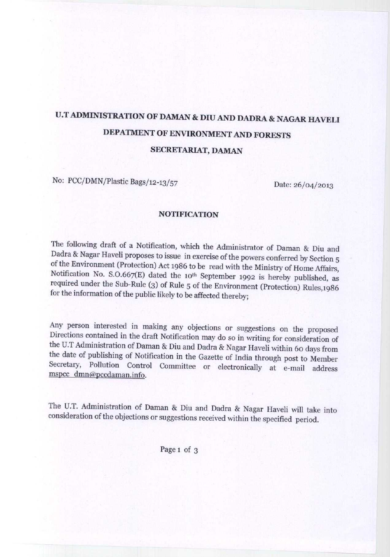## U.T ADMINISTRATION OF DAMAN & DIU AND DADRA & NAGAR HAVELI DEPATMENT OF ENVIRONMENT AND FORESTS SECRETARIAT, DAMAN

No: PCC/**DMN/Plastic Bags**/12-13/57

Date: 26/04/2013

## NOTIFICATION

The following draft of a Notification, which the Administrator of Daman & Diu and Dadra & Nagar Haveli proposes to issue in exercise of the powers conferred by Section 5 of the Environment (Protection) Act 1986 to be read with the Ministry of Home Affairs, Notification No. S.O.667(E) dated the 10<sup>th</sup> September 1992 is hereby published, as required under the Sub-Rule (3) of Rule 5 of the Environment (Protection) Rules,1986 for the information of the public likely to be affected thereby;

Any person interested in making any objections or suggestions on the proposed Directions contained in the draft Notification may do so in writing for consideration of the U.T Administration of Daman & Diu and Dadra & Nagar Haveli within 6o days from the date of publishing of Notification in the Gazette of India through post to Member Secretary, Pollution Control Committee or electronically at e-mail address mspcc dmn@pccdaman.info.

The U.T. Administration of Daman & Diu and Dadra & Nagar Haveli will take into consideration of the objections or suggestions received within the specified period.

Page 1 of 3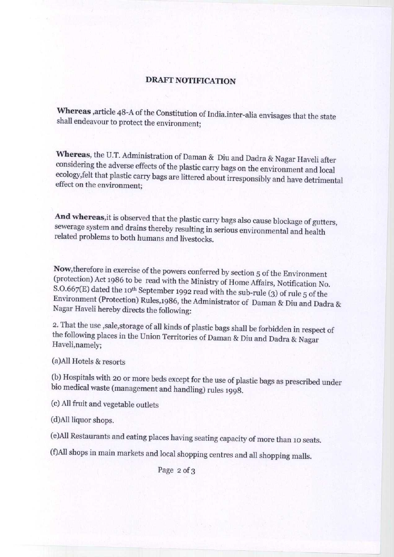## DRAFT NOTIFICATION

**Whereas article** 48-A of **the Constitution of India.inter** -**alia envisages that the state shall endeavour to protect the environment;**

Whereas, the U.T. Administration of Daman & Diu and Dadra & Nagar Haveli after considering the adverse effects of the plastic carry bags on the environment and local ecology,felt that plastic carry bags are littered about irresponsibly and have detrimental effect on the environment;

**And whereas**,it is observed that the plastic carry bags also cause blockage of gutters, sewerage system and drains thereby resulting in serious environmental and health related problems to both humans and livestocks.

Now,therefore in exercise of the powers conferred by section 5 of the Environment (protection) Act 1986 to be read with the Ministry of Home Affairs, Notification No. S.O.667(E) dated the 10<sup>th</sup> September 1992 read with the sub-rule (3) of rule 5 of the Environment (Protection) Rules,1986, the Administrator of Daman & Diu and Dadra & Nagar Haveli hereby directs the following:

2. That the use , sale, storage of all kinds of plastic bags shall be forbidden in respect of the following places in the Union Territories of Daman & Diu and Dadra & Nagar Haveli,namely;

(a)All Hotels & resorts

(b) Hospitals with 20 or more beds except for the use of plastic bags as prescribed under bio medical waste (management and handling) rules 1998.

(c) All fruit and vegetable outlets

(d)All liquor shops.

(e)All Restaurants and eating places having seating capacity of more than 1o seats.

(f)All shops in main markets and local shopping centres and all shopping malls.

Page 2 of 3